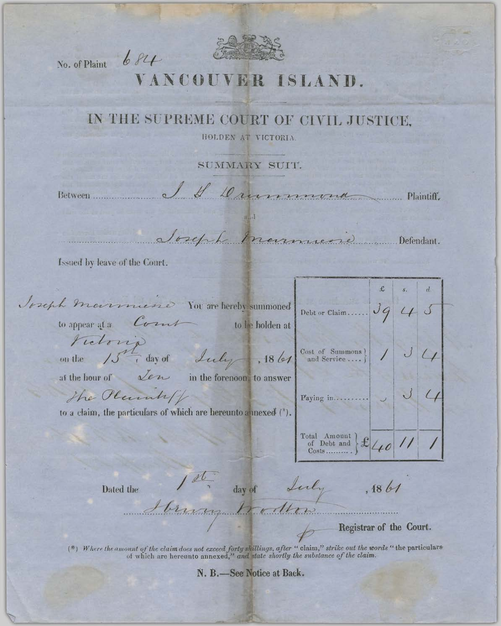

No. of Plaint

 $684$ 

## VANCOUVER ISLAND.

## IN THE SUPREME COURT OF CIVIL JUSTICE,

HOLDEN AT VICTORIA

SUMMARY SUIT.

Il Drummond Between

sept transmissione Defendant.

Issued by leave of the Court.

Joseph mannuise You are hereby summoned  $394$ Debt or Claim......  $\mathcal{S}_{\mathcal{A}}$ to appear at a Court to be holden at Victoria<br>un the 15<sup>th</sup>, day of Luly 1861 Cost of Summons }<br>and Service .... }  $\bigcup$ at the hour of *Lew* in the forenoon, to answer The Plannkfl Paying in.... to a claim, the particulars of which are hereunto a mexed (\*). Total Amount<br>of Debt and  $\mathcal{E}_{\mathcal{A}}$ 

Dated the

1st day of Luly Henry Wollen

 $.1861$ 

Registrar of the Court.

(\*) Where the amount of the claim does not exceed forty shillings, after "claim," strike out the words "the particulars of which are hereunto annexed," and state shortly the substance of the claim.

N. B.-See Notice at Back.